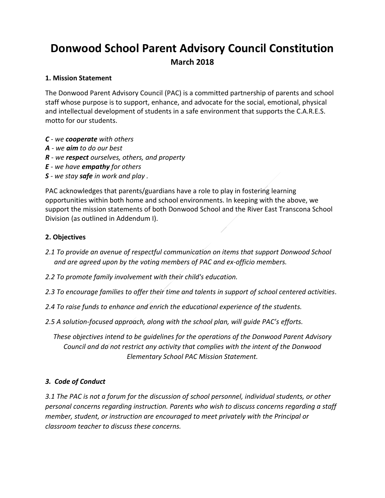# **Donwood School Parent Advisory Council Constitution March 2018**

## **1. Mission Statement**

The Donwood Parent Advisory Council (PAC) is a committed partnership of parents and school staff whose purpose is to support, enhance, and advocate for the social, emotional, physical and intellectual development of students in a safe environment that supports the C.A.R.E.S. motto for our students.

- *C - we cooperate with others*
- *A - we aim to do our best*
- *R - we respect ourselves, others, and property*
- *E - we have empathy for others*
- *S - we stay safe in work and play .*

PAC acknowledges that parents/guardians have a role to play in fostering learning opportunities within both home and school environments. In keeping with the above, we support the mission statements of both Donwood School and the River East Transcona School Division (as outlined in Addendum I).

## **2. Objectives**

- *2.1 To provide an avenue of respectful communication on items that support Donwood School and are agreed upon by the voting members of PAC and ex-officio members.*
- *2.2 To promote family involvement with their child's education.*
- *2.3 To encourage families to offer their time and talents in support of school centered activities.*
- *2.4 To raise funds to enhance and enrich the educational experience of the students.*
- *2.5 A solution-focused approach, along with the school plan, will guide PAC's efforts.*

*These objectives intend to be guidelines for the operations of the Donwood Parent Advisory Council and do not restrict any activity that complies with the intent of the Donwood Elementary School PAC Mission Statement.*

## *3. Code of Conduct*

*3.1 The PAC is not a forum for the discussion of school personnel, individual students, or other personal concerns regarding instruction. Parents who wish to discuss concerns regarding a staff member, student, or instruction are encouraged to meet privately with the Principal or classroom teacher to discuss these concerns.*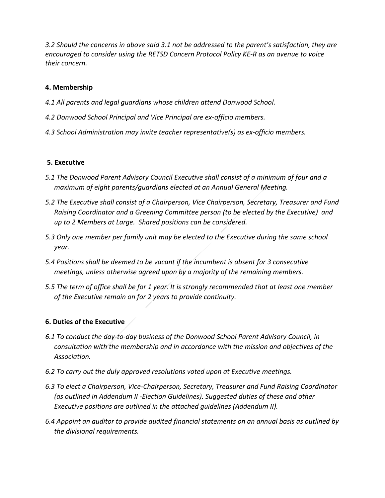*3.2 Should the concerns in above said 3.1 not be addressed to the parent's satisfaction, they are encouraged to consider using the RETSD Concern Protocol Policy KE-R as an avenue to voice their concern.*

# **4. Membership**

- *4.1 All parents and legal guardians whose children attend Donwood School.*
- *4.2 Donwood School Principal and Vice Principal are ex-officio members.*
- *4.3 School Administration may invite teacher representative(s) as ex-officio members.*

# **5. Executive**

- *5.1 The Donwood Parent Advisory Council Executive shall consist of a minimum of four and a maximum of eight parents/guardians elected at an Annual General Meeting.*
- *5.2 The Executive shall consist of a Chairperson, Vice Chairperson, Secretary, Treasurer and Fund Raising Coordinator and a Greening Committee person (to be elected by the Executive) and up to 2 Members at Large. Shared positions can be considered.*
- *5.3 Only one member per family unit may be elected to the Executive during the same school year.*
- *5.4 Positions shall be deemed to be vacant if the incumbent is absent for 3 consecutive meetings, unless otherwise agreed upon by a majority of the remaining members.*
- *5.5 The term of office shall be for 1 year. It is strongly recommended that at least one member of the Executive remain on for 2 years to provide continuity.*

# **6. Duties of the Executive**

- *6.1 To conduct the day-to-day business of the Donwood School Parent Advisory Council, in consultation with the membership and in accordance with the mission and objectives of the Association.*
- *6.2 To carry out the duly approved resolutions voted upon at Executive meetings.*
- *6.3 To elect a Chairperson, Vice-Chairperson, Secretary, Treasurer and Fund Raising Coordinator (as outlined in Addendum II -Election Guidelines). Suggested duties of these and other Executive positions are outlined in the attached guidelines (Addendum II).*
- *6.4 Appoint an auditor to provide audited financial statements on an annual basis as outlined by the divisional requirements.*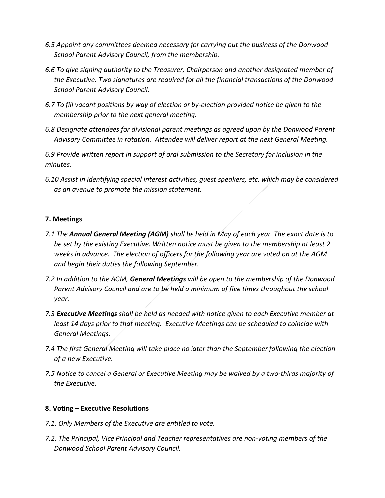- *6.5 Appoint any committees deemed necessary for carrying out the business of the Donwood School Parent Advisory Council, from the membership.*
- *6.6 To give signing authority to the Treasurer, Chairperson and another designated member of the Executive. Two signatures are required for all the financial transactions of the Donwood School Parent Advisory Council.*
- *6.7 To fill vacant positions by way of election or by-election provided notice be given to the membership prior to the next general meeting.*
- *6.8 Designate attendees for divisional parent meetings as agreed upon by the Donwood Parent Advisory Committee in rotation. Attendee will deliver report at the next General Meeting.*

*6.9 Provide written report in support of oral submission to the Secretary for inclusion in the minutes.*

*6.10 Assist in identifying special interest activities, guest speakers, etc. which may be considered as an avenue to promote the mission statement.*

# **7. Meetings**

- *7.1 The Annual General Meeting (AGM) shall be held in May of each year. The exact date is to be set by the existing Executive. Written notice must be given to the membership at least 2 weeks in advance. The election of officers for the following year are voted on at the AGM and begin their duties the following September.*
- *7.2 In addition to the AGM, General Meetings will be open to the membership of the Donwood Parent Advisory Council and are to be held a minimum of five times throughout the school year.*
- *7.3 Executive Meetings shall be held as needed with notice given to each Executive member at least 14 days prior to that meeting. Executive Meetings can be scheduled to coincide with General Meetings.*
- *7.4 The first General Meeting will take place no later than the September following the election of a new Executive.*
- *7.5 Notice to cancel a General or Executive Meeting may be waived by a two-thirds majority of the Executive.*

## **8. Voting – Executive Resolutions**

- *7.1. Only Members of the Executive are entitled to vote.*
- *7.2. The Principal, Vice Principal and Teacher representatives are non-voting members of the Donwood School Parent Advisory Council.*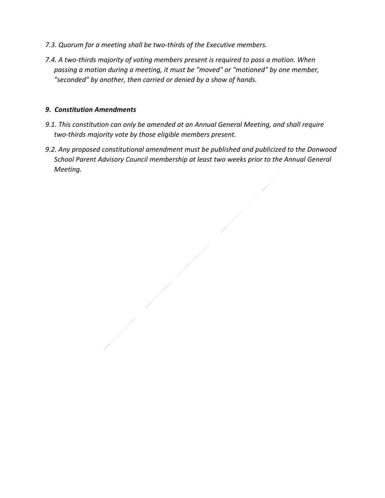- *7.3. Quorum for a meeting shall be two-thirds of the Executive members.*
- *7.4. A two-thirds majority of voting members present is required to pass a motion. When passing a motion during a meeting, it must be "moved" or "motioned" by one member, "seconded" by another, then carried or denied by a show of hands.*

#### *9. Constitution Amendments*

- *9.1. This constitution can only be amended at an Annual General Meeting, and shall require two-thirds majority vote by those eligible members present.*
- *9.2. Any proposed constitutional amendment must be published and publicized to the Donwood School Parent Advisory Council membership at least two weeks prior to the Annual General Meeting.*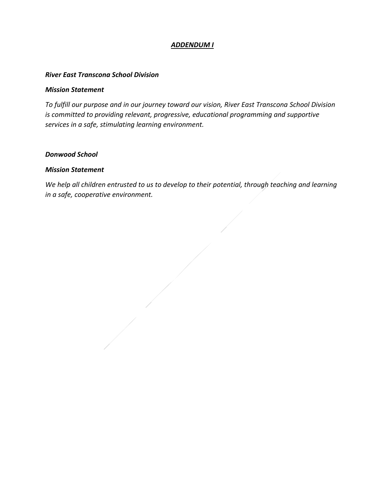# *ADDENDUM I*

#### *River East Transcona School Division*

#### *Mission Statement*

*To fulfill our purpose and in our journey toward our vision, River East Transcona School Division is committed to providing relevant, progressive, educational programming and supportive services in a safe, stimulating learning environment.*

#### *Donwood School*

#### *Mission Statement*

*We help all children entrusted to us to develop to their potential, through teaching and learning in a safe, cooperative environment.*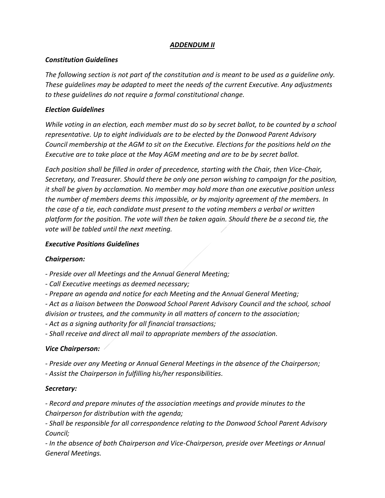# *ADDENDUM II*

## *Constitution Guidelines*

*The following section is not part of the constitution and is meant to be used as a guideline only. These guidelines may be adapted to meet the needs of the current Executive. Any adjustments to these guidelines do not require a formal constitutional change.*

## *Election Guidelines*

*While voting in an election, each member must do so by secret ballot, to be counted by a school representative. Up to eight individuals are to be elected by the Donwood Parent Advisory Council membership at the AGM to sit on the Executive. Elections for the positions held on the Executive are to take place at the May AGM meeting and are to be by secret ballot.*

*Each position shall be filled in order of precedence, starting with the Chair, then Vice-Chair, Secretary, and Treasurer. Should there be only one person wishing to campaign for the position, it shall be given by acclamation. No member may hold more than one executive position unless the number of members deems this impossible, or by majority agreement of the members. In the case of a tie, each candidate must present to the voting members a verbal or written platform for the position. The vote will then be taken again. Should there be a second tie, the vote will be tabled until the next meeting.*

## *Executive Positions Guidelines*

# *Chairperson:*

*- Preside over all Meetings and the Annual General Meeting;*

*- Call Executive meetings as deemed necessary;*

*- Prepare an agenda and notice for each Meeting and the Annual General Meeting;*

*- Act as a liaison between the Donwood School Parent Advisory Council and the school, school division or trustees, and the community in all matters of concern to the association;*

*- Act as a signing authority for all financial transactions;*

*- Shall receive and direct all mail to appropriate members of the association.*

# *Vice Chairperson:*

*- Preside over any Meeting or Annual General Meetings in the absence of the Chairperson;*

*- Assist the Chairperson in fulfilling his/her responsibilities.*

# *Secretary:*

*- Record and prepare minutes of the association meetings and provide minutes to the Chairperson for distribution with the agenda;*

*- Shall be responsible for all correspondence relating to the Donwood School Parent Advisory Council;*

*- In the absence of both Chairperson and Vice-Chairperson, preside over Meetings or Annual General Meetings.*